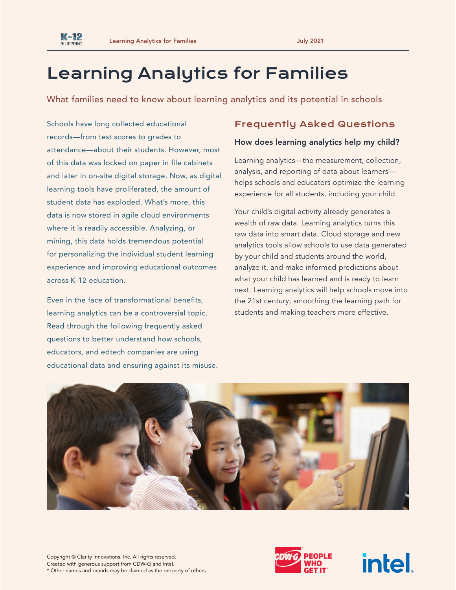

# Learning Analytics for Families

What families need to know about learning analytics and its potential in schools

Schools have long collected educational records—from test scores to grades to attendance—about their students. However, most of this data was locked on paper in file cabinets and later in on-site digital storage. Now, as digital learning tools have proliferated, the amount of student data has exploded. What's more, this data is now stored in agile cloud environments where it is readily accessible. Analyzing, or mining, this data holds tremendous potential for personalizing the individual student learning experience and improving educational outcomes across K-12 education.

Even in the face of transformational benefits, learning analytics can be a controversial topic. Read through the following frequently asked questions to better understand how schools, educators, and edtech companies are using educational data and ensuring against its misuse.

# Frequently Asked Questions

### How does learning analytics help my child?

Learning analytics—the measurement, collection, analysis, and reporting of data about learners helps schools and educators optimize the learning experience for all students, including your child.

Your child's digital activity already generates a wealth of raw data. Learning analytics turns this raw data into smart data. Cloud storage and new analytics tools allow schools to use data generated by your child and students around the world, analyze it, and make informed predictions about what your child has learned and is ready to learn next. Learning analytics will help schools move into the 21st century; smoothing the learning path for students and making teachers more effective.





**intel**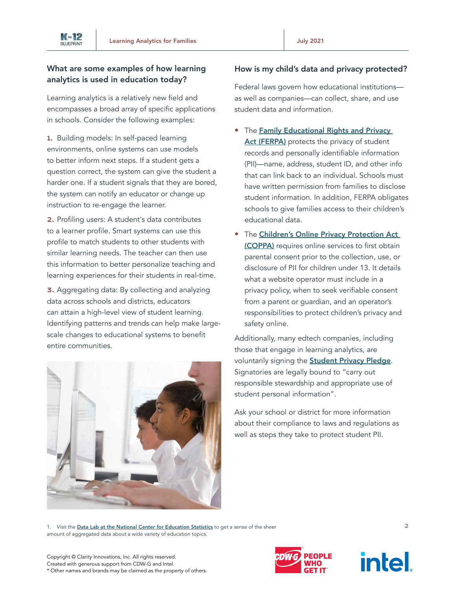## What are some examples of how learning analytics is used in education today?

Learning analytics is a relatively new field and encompasses a broad array of specific applications in schools. Consider the following examples:

1. Building models: In self-paced learning environments, online systems can use models to better inform next steps. If a student gets a question correct, the system can give the student a harder one. If a student signals that they are bored, the system can notify an educator or change up instruction to re-engage the learner.

2. Profiling users: A student's data contributes to a learner profile. Smart systems can use this profile to match students to other students with similar learning needs. The teacher can then use this information to better personalize teaching and learning experiences for their students in real-time.

3. Aggregating data: By collecting and analyzing data across schools and districts, educators can attain a high-level view of student learning. Identifying patterns and trends can help make largescale changes to educational systems to benefit entire communities.



## How is my child's data and privacy protected?

Federal laws govern how educational institutions as well as companies—can collect, share, and use student data and information.

- The Family Educational Rights and Privacy [Act \(FERPA\)](https://www2.ed.gov/policy/gen/guid/fpco/ferpa/index.html) protects the privacy of student records and personally identifiable information (PII)—name, address, student ID, and other info that can link back to an individual. Schools must have written permission from families to disclose student information. In addition, FERPA obligates schools to give families access to their children's educational data.
- The Children's Online Privacy Protection Act [\(COPPA\)](https://www.ftc.gov/enforcement/rules/rulemaking-regulatory-reform-proceedings/childrens-online-privacy-protection-rule) requires online services to first obtain parental consent prior to the collection, use, or disclosure of PII for children under 13. It details what a website operator must include in a privacy policy, when to seek verifiable consent from a parent or guardian, and an operator's responsibilities to protect children's privacy and safety online.

Additionally, many edtech companies, including those that engage in learning analytics, are voluntarily signing the **[Student Privacy Pledge](https://studentprivacypledge.org/)**. Signatories are legally bound to "carry out responsible stewardship and appropriate use of student personal information".

Ask your school or district for more information about their compliance to laws and regulations as well as steps they take to protect student PII.

1. Visit the [Data Lab at the National Center for Education Statistics](https://nces.ed.gov/datalab/index.aspx) to get a sense of the sheer amount of aggregated data about a wide variety of education topics.